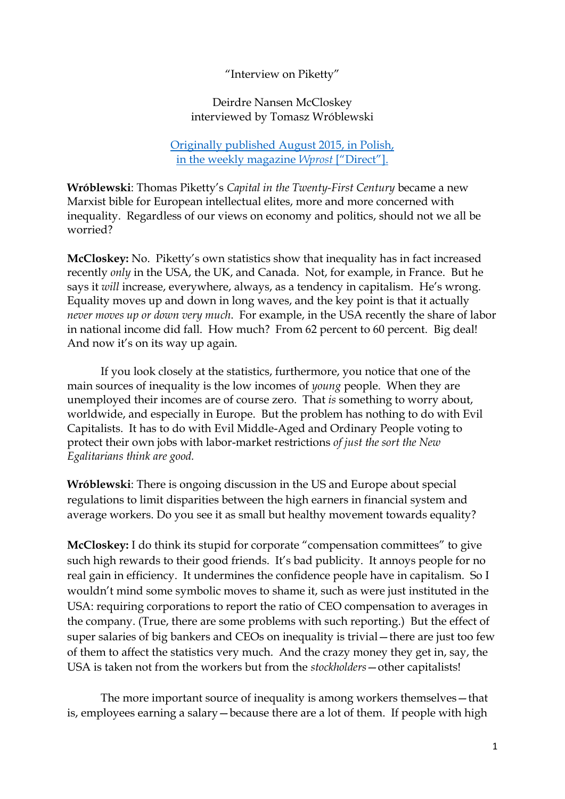"Interview on Piketty"

Deirdre Nansen McCloskey interviewed by Tomasz Wróblewski

Originally published [August 2015, in Polish,](http://www.wprost.pl/ar/518975/Niecni-intelektualisci-i-cnotliwa-burzuazja/) [in the weekly magazine](http://www.wprost.pl/ar/518975/Niecni-intelektualisci-i-cnotliwa-burzuazja/) *Wprost* ["Direct"].

**Wróblewski**: Thomas Piketty's *Capital in the Twenty-First Century* became a new Marxist bible for European intellectual elites, more and more concerned with inequality. Regardless of our views on economy and politics, should not we all be worried?

**McCloskey:** No. Piketty's own statistics show that inequality has in fact increased recently *only* in the USA, the UK, and Canada. Not, for example, in France. But he says it *will* increase, everywhere, always, as a tendency in capitalism. He's wrong. Equality moves up and down in long waves, and the key point is that it actually *never moves up or down very much*. For example, in the USA recently the share of labor in national income did fall. How much? From 62 percent to 60 percent. Big deal! And now it's on its way up again.

If you look closely at the statistics, furthermore, you notice that one of the main sources of inequality is the low incomes of *young* people. When they are unemployed their incomes are of course zero*.* That *is* something to worry about, worldwide, and especially in Europe. But the problem has nothing to do with Evil Capitalists. It has to do with Evil Middle-Aged and Ordinary People voting to protect their own jobs with labor-market restrictions *of just the sort the New Egalitarians think are good.*

**Wróblewski**: There is ongoing discussion in the US and Europe about special regulations to limit disparities between the high earners in financial system and average workers. Do you see it as small but healthy movement towards equality?

**McCloskey:** I do think its stupid for corporate "compensation committees" to give such high rewards to their good friends. It's bad publicity. It annoys people for no real gain in efficiency. It undermines the confidence people have in capitalism. So I wouldn't mind some symbolic moves to shame it, such as were just instituted in the USA: requiring corporations to report the ratio of CEO compensation to averages in the company. (True, there are some problems with such reporting.) But the effect of super salaries of big bankers and CEOs on inequality is trivial—there are just too few of them to affect the statistics very much. And the crazy money they get in, say, the USA is taken not from the workers but from the *stockholders*—other capitalists!

The more important source of inequality is among workers themselves—that is, employees earning a salary—because there are a lot of them. If people with high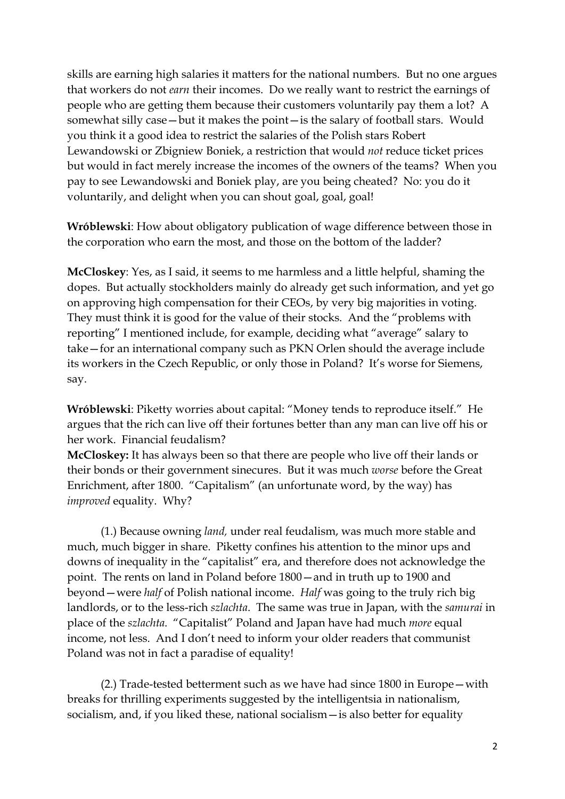skills are earning high salaries it matters for the national numbers. But no one argues that workers do not *earn* their incomes. Do we really want to restrict the earnings of people who are getting them because their customers voluntarily pay them a lot? A somewhat silly case—but it makes the point—is the salary of football stars. Would you think it a good idea to restrict the salaries of the Polish stars Robert Lewandowski or Zbigniew Boniek, a restriction that would *not* reduce ticket prices but would in fact merely increase the incomes of the owners of the teams? When you pay to see Lewandowski and Boniek play, are you being cheated? No: you do it voluntarily, and delight when you can shout goal, goal, goal!

**Wróblewski**: How about obligatory publication of wage difference between those in the corporation who earn the most, and those on the bottom of the ladder?

**McCloskey**: Yes, as I said, it seems to me harmless and a little helpful, shaming the dopes. But actually stockholders mainly do already get such information, and yet go on approving high compensation for their CEOs, by very big majorities in voting. They must think it is good for the value of their stocks. And the "problems with reporting" I mentioned include, for example, deciding what "average" salary to take—for an international company such as PKN Orlen should the average include its workers in the Czech Republic, or only those in Poland? It's worse for Siemens, say.

**Wróblewski**: Piketty worries about capital: "Money tends to reproduce itself." He argues that the rich can live off their fortunes better than any man can live off his or her work. Financial feudalism?

**McCloskey:** It has always been so that there are people who live off their lands or their bonds or their government sinecures. But it was much *worse* before the Great Enrichment, after 1800. "Capitalism" (an unfortunate word, by the way) has *improved* equality. Why?

(1.) Because owning *land,* under real feudalism, was much more stable and much, much bigger in share. Piketty confines his attention to the minor ups and downs of inequality in the "capitalist" era, and therefore does not acknowledge the point. The rents on land in Poland before 1800—and in truth up to 1900 and beyond—were *half* of Polish national income. *Half* was going to the truly rich big landlords, or to the less-rich *szlachta*. The same was true in Japan, with the *samurai* in place of the *szlachta*. "Capitalist" Poland and Japan have had much *more* equal income, not less. And I don't need to inform your older readers that communist Poland was not in fact a paradise of equality!

(2.) Trade-tested betterment such as we have had since 1800 in Europe—with breaks for thrilling experiments suggested by the intelligentsia in nationalism, socialism, and, if you liked these, national socialism—is also better for equality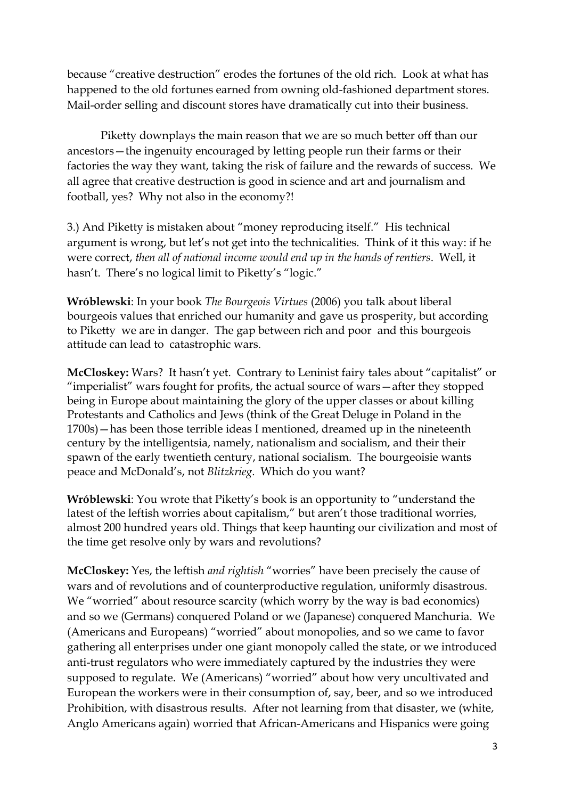because "creative destruction" erodes the fortunes of the old rich. Look at what has happened to the old fortunes earned from owning old-fashioned department stores. Mail-order selling and discount stores have dramatically cut into their business.

Piketty downplays the main reason that we are so much better off than our ancestors—the ingenuity encouraged by letting people run their farms or their factories the way they want, taking the risk of failure and the rewards of success. We all agree that creative destruction is good in science and art and journalism and football, yes? Why not also in the economy?!

3.) And Piketty is mistaken about "money reproducing itself." His technical argument is wrong, but let's not get into the technicalities. Think of it this way: if he were correct, *then all of national income would end up in the hands of rentiers*. Well, it hasn't. There's no logical limit to Piketty's "logic."

**Wróblewski**: In your book *The Bourgeois Virtues* (2006) you talk about liberal bourgeois values that enriched our humanity and gave us prosperity, but according to Piketty we are in danger. The gap between rich and poor and this bourgeois attitude can lead to catastrophic wars.

**McCloskey:** Wars? It hasn't yet. Contrary to Leninist fairy tales about "capitalist" or "imperialist" wars fought for profits, the actual source of wars—after they stopped being in Europe about maintaining the glory of the upper classes or about killing Protestants and Catholics and Jews (think of the Great Deluge in Poland in the 1700s)—has been those terrible ideas I mentioned, dreamed up in the nineteenth century by the intelligentsia, namely, nationalism and socialism, and their their spawn of the early twentieth century, national socialism. The bourgeoisie wants peace and McDonald's, not *Blitzkrieg*. Which do you want?

**Wróblewski**: You wrote that Piketty's book is an opportunity to "understand the latest of the leftish worries about capitalism," but aren't those traditional worries, almost 200 hundred years old. Things that keep haunting our civilization and most of the time get resolve only by wars and revolutions?

**McCloskey:** Yes, the leftish *and rightish* "worries" have been precisely the cause of wars and of revolutions and of counterproductive regulation, uniformly disastrous. We "worried" about resource scarcity (which worry by the way is bad economics) and so we (Germans) conquered Poland or we (Japanese) conquered Manchuria. We (Americans and Europeans) "worried" about monopolies, and so we came to favor gathering all enterprises under one giant monopoly called the state, or we introduced anti-trust regulators who were immediately captured by the industries they were supposed to regulate. We (Americans) "worried" about how very uncultivated and European the workers were in their consumption of, say, beer, and so we introduced Prohibition, with disastrous results. After not learning from that disaster, we (white, Anglo Americans again) worried that African-Americans and Hispanics were going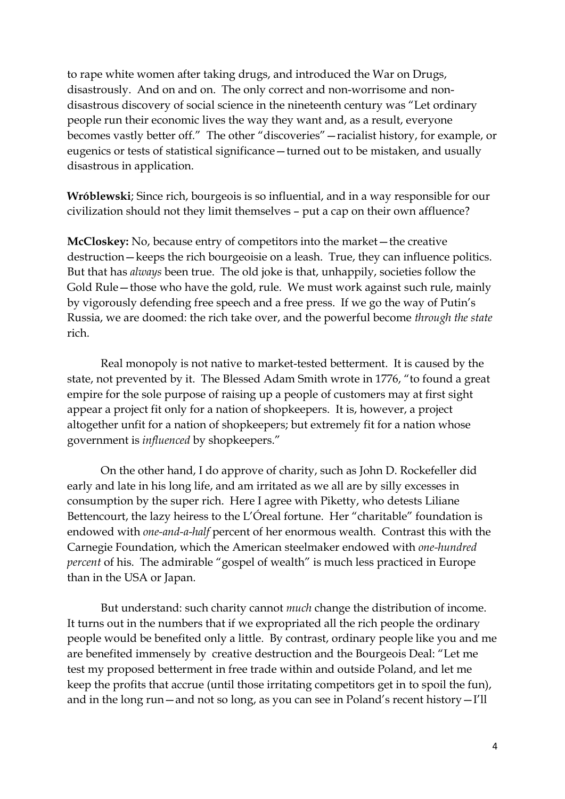to rape white women after taking drugs, and introduced the War on Drugs, disastrously. And on and on. The only correct and non-worrisome and nondisastrous discovery of social science in the nineteenth century was "Let ordinary people run their economic lives the way they want and, as a result, everyone becomes vastly better off." The other "discoveries"—racialist history, for example, or eugenics or tests of statistical significance—turned out to be mistaken, and usually disastrous in application.

**Wróblewski**; Since rich, bourgeois is so influential, and in a way responsible for our civilization should not they limit themselves – put a cap on their own affluence?

**McCloskey:** No, because entry of competitors into the market—the creative destruction—keeps the rich bourgeoisie on a leash. True, they can influence politics. But that has *always* been true. The old joke is that, unhappily, societies follow the Gold Rule—those who have the gold, rule. We must work against such rule, mainly by vigorously defending free speech and a free press. If we go the way of Putin's Russia, we are doomed: the rich take over, and the powerful become *through the state*  rich.

Real monopoly is not native to market-tested betterment. It is caused by the state, not prevented by it. The Blessed Adam Smith wrote in 1776, "to found a great empire for the sole purpose of raising up a people of customers may at first sight appear a project fit only for a nation of shopkeepers. It is, however, a project altogether unfit for a nation of shopkeepers; but extremely fit for a nation whose government is *influenced* by shopkeepers."

On the other hand, I do approve of charity, such as John D. Rockefeller did early and late in his long life, and am irritated as we all are by silly excesses in consumption by the super rich. Here I agree with Piketty, who detests Liliane Bettencourt, the lazy heiress to the L'Óreal fortune. Her "charitable" foundation is endowed with *one-and-a-half* percent of her enormous wealth. Contrast this with the Carnegie Foundation, which the American steelmaker endowed with *one-hundred percent* of his. The admirable "gospel of wealth" is much less practiced in Europe than in the USA or Japan.

But understand: such charity cannot *much* change the distribution of income. It turns out in the numbers that if we expropriated all the rich people the ordinary people would be benefited only a little. By contrast, ordinary people like you and me are benefited immensely by creative destruction and the Bourgeois Deal: "Let me test my proposed betterment in free trade within and outside Poland, and let me keep the profits that accrue (until those irritating competitors get in to spoil the fun), and in the long run—and not so long, as you can see in Poland's recent history—I'll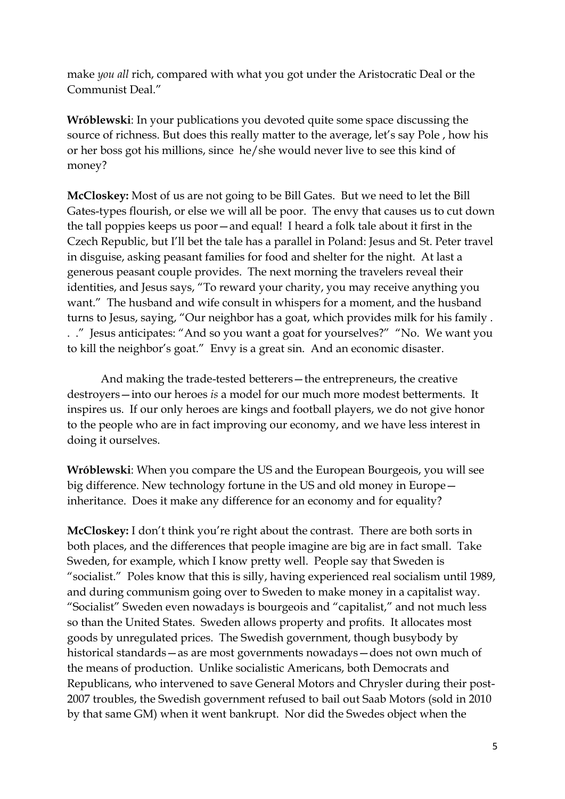make *you all* rich, compared with what you got under the Aristocratic Deal or the Communist Deal."

**Wróblewski**: In your publications you devoted quite some space discussing the source of richness. But does this really matter to the average, let's say Pole , how his or her boss got his millions, since he/she would never live to see this kind of money?

**McCloskey:** Most of us are not going to be Bill Gates. But we need to let the Bill Gates-types flourish, or else we will all be poor. The envy that causes us to cut down the tall poppies keeps us poor—and equal! I heard a folk tale about it first in the Czech Republic, but I'll bet the tale has a parallel in Poland: Jesus and St. Peter travel in disguise, asking peasant families for food and shelter for the night. At last a generous peasant couple provides. The next morning the travelers reveal their identities, and Jesus says, "To reward your charity, you may receive anything you want." The husband and wife consult in whispers for a moment, and the husband turns to Jesus, saying, "Our neighbor has a goat, which provides milk for his family . . ." Jesus anticipates: "And so you want a goat for yourselves?" "No. We want you to kill the neighbor's goat." Envy is a great sin. And an economic disaster.

And making the trade-tested betterers—the entrepreneurs, the creative destroyers—into our heroes *is* a model for our much more modest betterments. It inspires us. If our only heroes are kings and football players, we do not give honor to the people who are in fact improving our economy, and we have less interest in doing it ourselves.

**Wróblewski**: When you compare the US and the European Bourgeois, you will see big difference. New technology fortune in the US and old money in Europe inheritance. Does it make any difference for an economy and for equality?

**McCloskey:** I don't think you're right about the contrast. There are both sorts in both places, and the differences that people imagine are big are in fact small. Take Sweden, for example, which I know pretty well. People say that Sweden is "socialist." Poles know that this is silly, having experienced real socialism until 1989, and during communism going over to Sweden to make money in a capitalist way. "Socialist" Sweden even nowadays is bourgeois and "capitalist," and not much less so than the United States. Sweden allows property and profits. It allocates most goods by unregulated prices. The Swedish government, though busybody by historical standards—as are most governments nowadays—does not own much of the means of production. Unlike socialistic Americans, both Democrats and Republicans, who intervened to save General Motors and Chrysler during their post-2007 troubles, the Swedish government refused to bail out Saab Motors (sold in 2010 by that same GM) when it went bankrupt. Nor did the Swedes object when the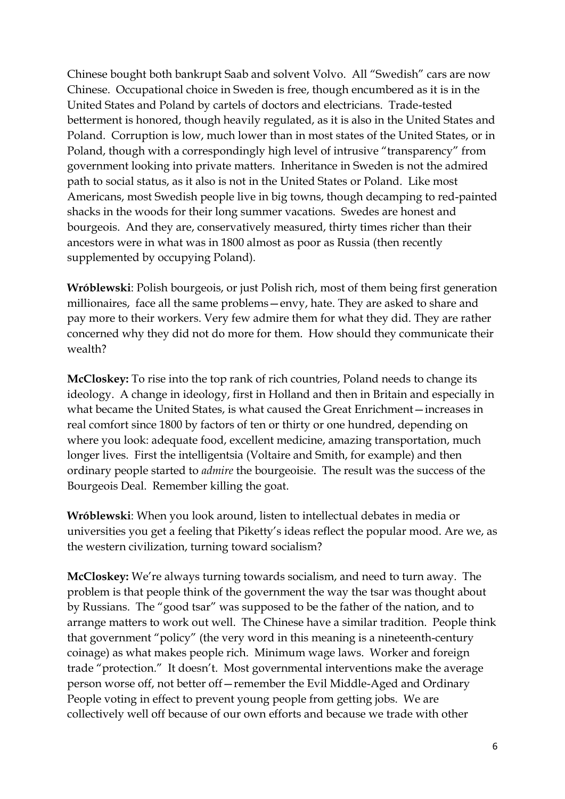Chinese bought both bankrupt Saab and solvent Volvo. All "Swedish" cars are now Chinese. Occupational choice in Sweden is free, though encumbered as it is in the United States and Poland by cartels of doctors and electricians. Trade-tested betterment is honored, though heavily regulated, as it is also in the United States and Poland. Corruption is low, much lower than in most states of the United States, or in Poland, though with a correspondingly high level of intrusive "transparency" from government looking into private matters. Inheritance in Sweden is not the admired path to social status, as it also is not in the United States or Poland. Like most Americans, most Swedish people live in big towns, though decamping to red-painted shacks in the woods for their long summer vacations. Swedes are honest and bourgeois. And they are, conservatively measured, thirty times richer than their ancestors were in what was in 1800 almost as poor as Russia (then recently supplemented by occupying Poland).

**Wróblewski**: Polish bourgeois, or just Polish rich, most of them being first generation millionaires, face all the same problems—envy, hate. They are asked to share and pay more to their workers. Very few admire them for what they did. They are rather concerned why they did not do more for them. How should they communicate their wealth?

**McCloskey:** To rise into the top rank of rich countries, Poland needs to change its ideology. A change in ideology, first in Holland and then in Britain and especially in what became the United States, is what caused the Great Enrichment—increases in real comfort since 1800 by factors of ten or thirty or one hundred, depending on where you look: adequate food, excellent medicine, amazing transportation, much longer lives. First the intelligentsia (Voltaire and Smith, for example) and then ordinary people started to *admire* the bourgeoisie. The result was the success of the Bourgeois Deal. Remember killing the goat.

**Wróblewski**: When you look around, listen to intellectual debates in media or universities you get a feeling that Piketty's ideas reflect the popular mood. Are we, as the western civilization, turning toward socialism?

**McCloskey:** We're always turning towards socialism, and need to turn away. The problem is that people think of the government the way the tsar was thought about by Russians. The "good tsar" was supposed to be the father of the nation, and to arrange matters to work out well. The Chinese have a similar tradition. People think that government "policy" (the very word in this meaning is a nineteenth-century coinage) as what makes people rich. Minimum wage laws. Worker and foreign trade "protection." It doesn't. Most governmental interventions make the average person worse off, not better off—remember the Evil Middle-Aged and Ordinary People voting in effect to prevent young people from getting jobs. We are collectively well off because of our own efforts and because we trade with other